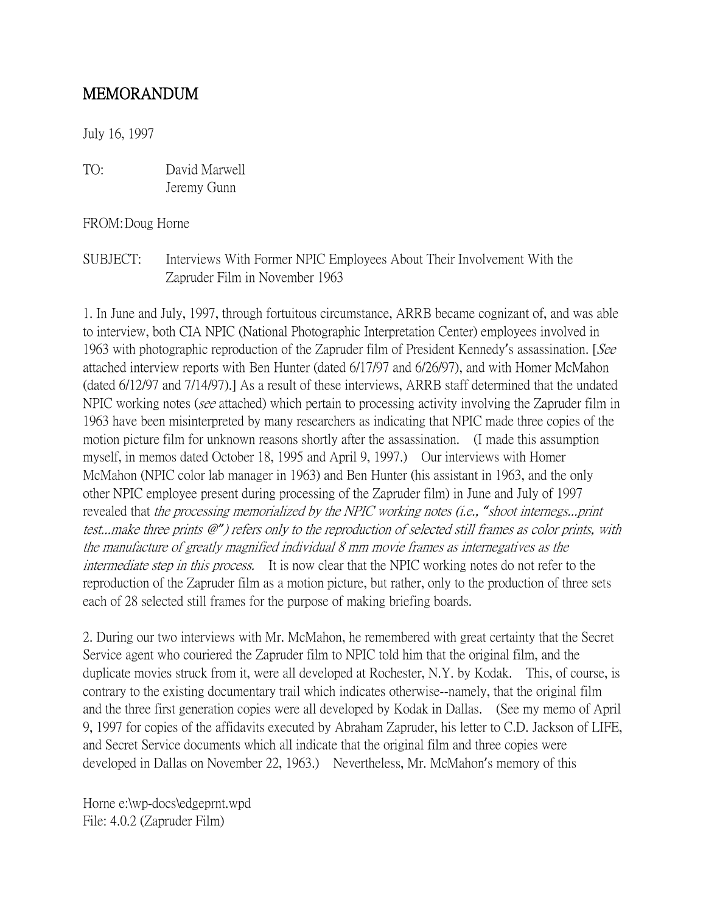## MEMORANDUM

July 16, 1997

TO: David Marwell Jeremy Gunn

FROM:Doug Horne

SUBJECT: Interviews With Former NPIC Employees About Their Involvement With the Zapruder Film in November 1963

1. In June and July, 1997, through fortuitous circumstance, ARRB became cognizant of, and was able to interview, both CIA NPIC (National Photographic Interpretation Center) employees involved in 1963 with photographic reproduction of the Zapruder film of President Kennedy's assassination. [See attached interview reports with Ben Hunter (dated 6/17/97 and 6/26/97), and with Homer McMahon (dated 6/12/97 and 7/14/97).] As a result of these interviews, ARRB staff determined that the undated NPIC working notes (see attached) which pertain to processing activity involving the Zapruder film in 1963 have been misinterpreted by many researchers as indicating that NPIC made three copies of the motion picture film for unknown reasons shortly after the assassination. (I made this assumption myself, in memos dated October 18, 1995 and April 9, 1997.) Our interviews with Homer McMahon (NPIC color lab manager in 1963) and Ben Hunter (his assistant in 1963, and the only other NPIC employee present during processing of the Zapruder film) in June and July of 1997 revealed that the processing memorialized by the NPIC working notes (i.e., *"*shoot internegs...print test...make three prints @*"*) refers only to the reproduction of selected still frames as color prints, with the manufacture of greatly magnified individual 8 mm movie frames as internegatives as the intermediate step in this process. It is now clear that the NPIC working notes do not refer to the reproduction of the Zapruder film as a motion picture, but rather, only to the production of three sets each of 28 selected still frames for the purpose of making briefing boards.

2. During our two interviews with Mr. McMahon, he remembered with great certainty that the Secret Service agent who couriered the Zapruder film to NPIC told him that the original film, and the duplicate movies struck from it, were all developed at Rochester, N.Y. by Kodak. This, of course, is contrary to the existing documentary trail which indicates otherwise--namely, that the original film and the three first generation copies were all developed by Kodak in Dallas. (See my memo of April 9, 1997 for copies of the affidavits executed by Abraham Zapruder, his letter to C.D. Jackson of LIFE, and Secret Service documents which all indicate that the original film and three copies were developed in Dallas on November 22, 1963.) Nevertheless, Mr. McMahon's memory of this

Horne e:\wp-docs\edgeprnt.wpd File: 4.0.2 (Zapruder Film)